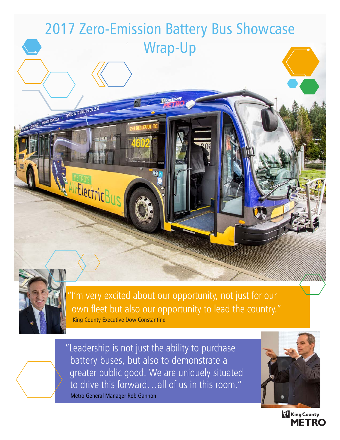

"I'm very excited about our opportunity, not just for our own fleet but also our opportunity to lead the country." King County Executive Dow Constantine

"Leadership is not just the ability to purchase battery buses, but also to demonstrate a greater public good. We are uniquely situated to drive this forward…all of us in this room." Metro General Manager Rob Gannon



**King County MFTRO**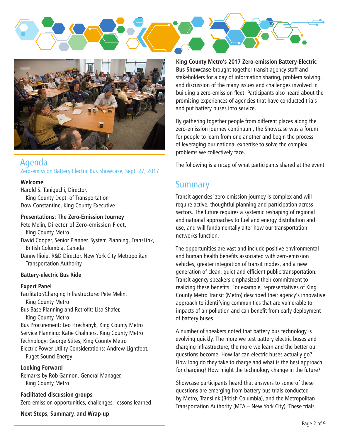



## Agenda Zero-emission Battery Electric Bus Showcase, Sept. 27, 2017

#### **Welcome**

Harold S. Taniguchi, Director, King County Dept. of Transportation Dow Constantine, King County Executive

#### **Presentations: The Zero-Emission Journey**

Pete Melin, Director of Zero-emission Fleet, King County Metro David Cooper, Senior Planner, System Planning, TransLink, British Columbia, Canada Danny Ilioiu, R&D Director, New York City Metropolitan Transportation Authority

#### **Battery-electric Bus Ride**

#### **Expert Panel**

Facilitator/Charging Infrastructure: Pete Melin, King County Metro Bus Base Planning and Retrofit: Lisa Shafer, King County Metro Bus Procurement: Leo Hrechanyk, King County Metro Service Planning: Katie Chalmers, King County Metro Technology: George Stites, King County Metro Electric Power Utility Considerations: Andrew Lightfoot, Puget Sound Energy

#### **Looking Forward**

Remarks by Rob Gannon, General Manager, King County Metro

**Facilitated discussion groups** Zero-emission opportunities, challenges, lessons learned

**Next Steps, Summary, and Wrap-up**

**King County Metro's 2017 Zero-emission Battery-Electric Bus Showcase** brought together transit agency staff and stakeholders for a day of information sharing, problem solving, and discussion of the many issues and challenges involved in building a zero-emission fleet. Participants also heard about the promising experiences of agencies that have conducted trials and put battery buses into service.

By gathering together people from different places along the zero-emission journey continuum, the Showcase was a forum for people to learn from one another and begin the process of leveraging our national expertise to solve the complex problems we collectively face.

The following is a recap of what participants shared at the event.

## **Summary**

Transit agencies' zero-emission journey is complex and will require active, thoughtful planning and participation across sectors. The future requires a systemic reshaping of regional and national approaches to fuel and energy distribution and use, and will fundamentally alter how our transportation networks function.

The opportunities are vast and include positive environmental and human health benefits associated with zero-emission vehicles, greater integration of transit modes, and a new generation of clean, quiet and efficient public transportation. Transit agency speakers emphasized their commitment to realizing these benefits. For example, representatives of King County Metro Transit (Metro) described their agency's innovative approach to identifying communities that are vulnerable to impacts of air pollution and can benefit from early deployment of battery buses.

A number of speakers noted that battery bus technology is evolving quickly. The more we test battery electric buses and charging infrastructure, the more we learn and the better our questions become. How far can electric buses actually go? How long do they take to charge and what is the best approach for charging? How might the technology change in the future?

Showcase participants heard that answers to some of these questions are emerging from battery bus trials conducted by Metro, Translink (British Columbia), and the Metropolitan Transportation Authority (MTA – New York City). These trials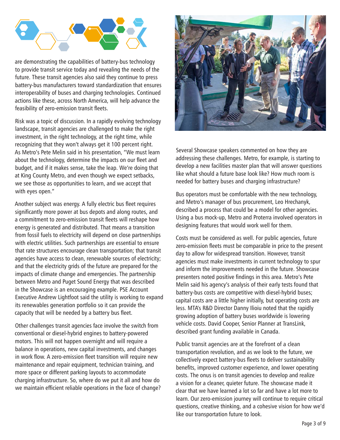

are demonstrating the capabilities of battery-bus technology to provide transit service today and revealing the needs of the future. These transit agencies also said they continue to press battery-bus manufacturers toward standardization that ensures interoperability of buses and charging technologies. Continued actions like these, across North America, will help advance the feasibility of zero-emission transit fleets.

Risk was a topic of discussion. In a rapidly evolving technology landscape, transit agencies are challenged to make the right investment, in the right technology, at the right time, while recognizing that they won't always get it 100 percent right. As Metro's Pete Melin said in his presentation, "We must learn about the technology, determine the impacts on our fleet and budget, and if it makes sense, take the leap. We're doing that at King County Metro, and even though we expect setbacks, we see those as opportunities to learn, and we accept that with eyes open."

Another subject was energy. A fully electric bus fleet requires significantly more power at bus depots and along routes, and a commitment to zero-emission transit fleets will reshape how energy is generated and distributed. That means a transition from fossil fuels to electricity will depend on close partnerships with electric utilities. Such partnerships are essential to ensure that rate structures encourage clean transportation; that transit agencies have access to clean, renewable sources of electricity; and that the electricity grids of the future are prepared for the impacts of climate change and emergencies. The partnership between Metro and Puget Sound Energy that was described in the Showcase is an encouraging example. PSE Account Executive Andrew Lightfoot said the utility is working to expand its renewables generation portfolio so it can provide the capacity that will be needed by a battery bus fleet.

Other challenges transit agencies face involve the switch from conventional or diesel-hybrid engines to battery-powered motors. This will not happen overnight and will require a balance in operations, new capital investments, and changes in work flow. A zero-emission fleet transition will require new maintenance and repair equipment, technician training, and more space or different parking layouts to accommodate charging infrastructure. So, where do we put it all and how do we maintain efficient reliable operations in the face of change?



Several Showcase speakers commented on how they are addressing these challenges. Metro, for example, is starting to develop a new facilities master plan that will answer questions like what should a future base look like? How much room is needed for battery buses and charging infrastructure?

Bus operators must be comfortable with the new technology, and Metro's manager of bus procurement, Leo Hrechanyk, described a process that could be a model for other agencies. Using a bus mock-up, Metro and Proterra involved operators in designing features that would work well for them.

Costs must be considered as well. For public agencies, future zero-emission fleets must be comparable in price to the present day to allow for widespread transition. However, transit agencies must make investments in current technology to spur and inform the improvements needed in the future. Showcase presenters noted positive findings in this area. Metro's Pete Melin said his agency's analysis of their early tests found that battery-bus costs are competitive with diesel-hybrid buses; capital costs are a little higher initially, but operating costs are less. MTA's R&D Director Danny Ilioiu noted that the rapidly growing adoption of battery buses worldwide is lowering vehicle costs. David Cooper, Senior Planner at TransLink, described grant funding available in Canada.

Public transit agencies are at the forefront of a clean transportation revolution, and as we look to the future, we collectively expect battery-bus fleets to deliver sustainability benefits, improved customer experience, and lower operating costs. The onus is on transit agencies to develop and realize a vision for a cleaner, quieter future. The showcase made it clear that we have learned a lot so far and have a lot more to learn. Our zero-emission journey will continue to require critical questions, creative thinking, and a cohesive vision for how we'd like our transportation future to look.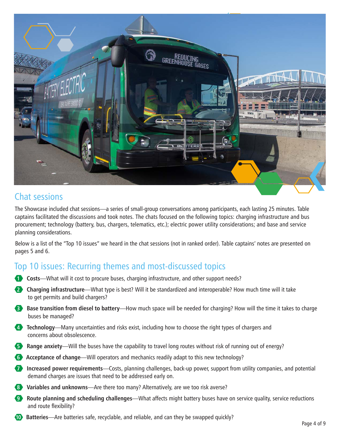

## Chat sessions

The Showcase included chat sessions—a series of small-group conversations among participants, each lasting 25 minutes. Table captains facilitated the discussions and took notes. The chats focused on the following topics: charging infrastructure and bus procurement; technology (battery, bus, chargers, telematics, etc.); electric power utility considerations; and base and service planning considerations.

Below is a list of the "Top 10 issues" we heard in the chat sessions (not in ranked order). Table captains' notes are presented on pages 5 and 6.

# Top 10 issues: Recurring themes and most-discussed topics

- **1 Costs**—What will it cost to procure buses, charging infrastructure, and other support needs?
- **2 Charging infrastructure**—What type is best? Will it be standardized and interoperable? How much time will it take to get permits and build chargers?
- **3** Base transition from diesel to battery—How much space will be needed for charging? How will the time it takes to charge buses be managed?
- **4 Technology**—Many uncertainties and risks exist, including how to choose the right types of chargers and concerns about obsolescence.
- **5 Range anxiety**—Will the buses have the capability to travel long routes without risk of running out of energy?
- **6 Acceptance of change**—Will operators and mechanics readily adapt to this new technology?
- **7 Increased power requirements**—Costs, planning challenges, back-up power, support from utility companies, and potential demand charges are issues that need to be addressed early on.
- **8 Variables and unknowns**—Are there too many? Alternatively, are we too risk averse?
- **9** Route planning and scheduling challenges—What affects might battery buses have on service quality, service reductions and route flexibility?
- **10 Batteries**—Are batteries safe, recyclable, and reliable, and can they be swapped quickly?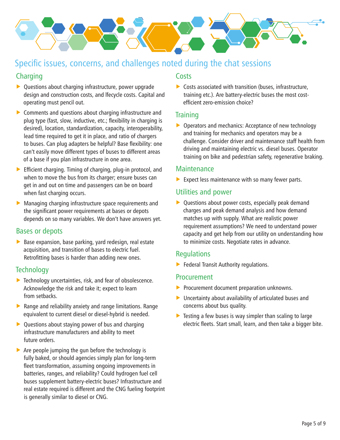

# Specific issues, concerns, and challenges noted during the chat sessions

## **Charging**

- $\triangleright$  Questions about charging infrastructure, power upgrade design and construction costs, and lfecycle costs. Capital and operating must pencil out.
- $\triangleright$  Comments and questions about charging infrastructure and plug type (fast, slow, inductive, etc.; flexibility in charging is desired), location, standardization, capacity, interoperability, lead time required to get it in place, and ratio of chargers to buses. Can plug adapters be helpful? Base flexibility: one can't easily move different types of buses to different areas of a base if you plan infrastructure in one area.
- $\triangleright$  Efficient charging. Timing of charging, plug-in protocol, and when to move the bus from its charger; ensure buses can get in and out on time and passengers can be on board when fast charging occurs.
- $\triangleright$  Managing charging infrastructure space requirements and the significant power requirements at bases or depots depends on so many variables. We don't have answers yet.

## Bases or depots

 $\triangleright$  Base expansion, base parking, yard redesign, real estate acquisition, and transition of bases to electric fuel. Retrofitting bases is harder than adding new ones.

## **Technology**

- $\blacktriangleright$  Technology uncertainties, risk, and fear of obsolescence. Acknowledge the risk and take it; expect to learn from setbacks.
- $\triangleright$  Range and reliability anxiety and range limitations. Range equivalent to current diesel or diesel-hybrid is needed.
- $\triangleright$  Questions about staying power of bus and charging infrastructure manufacturers and ability to meet future orders.
- $\triangleright$  Are people jumping the gun before the technology is fully baked, or should agencies simply plan for long-term fleet transformation, assuming ongoing improvements in batteries, ranges, and reliability? Could hydrogen fuel cell buses supplement battery-electric buses? Infrastructure and real estate required is different and the CNG fueling footprint is generally similar to diesel or CNG.

#### **Costs**

 $\triangleright$  Costs associated with transition (buses, infrastructure, training etc.). Are battery-electric buses the most costefficient zero-emission choice?

### **Training**

 $\triangleright$  Operators and mechanics: Acceptance of new technology and training for mechanics and operators may be a challenge. Consider driver and maintenance staff health from driving and maintaining electric vs. diesel buses. Operator training on bike and pedestrian safety, regenerative braking.

## **Maintenance**

Expect less maintenance with so many fewer parts.

## Utilities and power

 $\triangleright$  Questions about power costs, especially peak demand charges and peak demand analysis and how demand matches up with supply. What are realistic power requirement assumptions? We need to understand power capacity and get help from our utility on understanding how to minimize costs. Negotiate rates in advance.

## Regulations

 $\blacktriangleright$  Federal Transit Authority regulations.

#### Procurement

- $\blacktriangleright$  Procurement document preparation unknowns.
- $\triangleright$  Uncertainty about availability of articulated buses and concerns about bus quality.
- $\triangleright$  Testing a few buses is way simpler than scaling to large electric fleets. Start small, learn, and then take a bigger bite.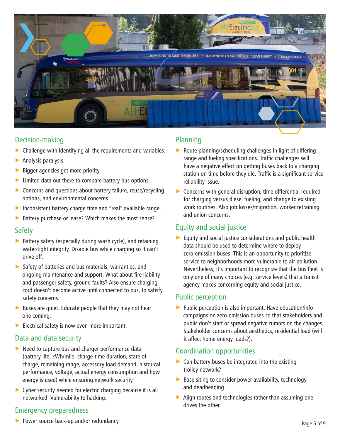![](_page_5_Picture_0.jpeg)

### Decision-making

- $\triangleright$  Challenge with identifying all the requirements and variables.
- $\blacktriangleright$  Analysis paralysis.
- $\triangleright$  Bigger agencies get more priority.
- $\blacktriangleright$  Limited data out there to compare battery bus options.
- $\triangleright$  Concerns and questions about battery failure, reuse/recycling options, and environmental concerns.
- Inconsistent battery charge time and "real" available range.
- $\blacktriangleright$  Battery purchase or lease? Which makes the most sense?

#### Safety

- $\triangleright$  Battery safety (especially during wash cycle), and retaining water-tight integrity. Disable bus while charging so it can't drive off.
- $\triangleright$  Safety of batteries and bus materials, warranties, and ongoing maintenance and support. What about fire liability and passenger safety, ground faults? Also ensure charging cord doesn't become active until connected to bus, to satisfy safety concerns.
- $\blacktriangleright$  Buses are quiet. Educate people that they may not hear one coming.
- $\blacktriangleright$  Electrical safety is now even more important.

## Data and data security

- $\blacktriangleright$  Need to capture bus and charger performance data (battery life, kWh/mile, charge-time duration, state of charge, remaining range, accessory load demand, historical performance, voltage, actual energy consumption and how energy is used) while ensuring network security.
- $\triangleright$  Cyber security needed for electric charging because it is all networked. Vulnerability to hacking.

## Emergency preparedness

- Planning
- $\triangleright$  Route planning/scheduling challenges in light of differing range and fueling specifications. Traffic challenges will have a negative effect on getting buses back to a charging station on time before they die. Traffic is a significant service reliability issue.
- $\triangleright$  Concerns with general disruption, time differential required for charging versus diesel fueling, and change to existing work routines. Also job losses/migration, worker retraining and union concerns.

## Equity and social justice

 $\blacktriangleright$  Equity and social justice considerations and public health data should be used to determine where to deploy zero-emission buses. This is an opportunity to prioritize service to neighborhoods more vulnerable to air pollution. Nevertheless, it's important to recognize that the bus fleet is only one of many choices (e.g. service levels) that a transit agency makes concerning equity and social justice.

## Public perception

 $\blacktriangleright$  Public perception is also important. Have education/info campaigns on zero-emission buses so that stakeholders and public don't start or spread negative rumors on the changes. Stakeholder concerns about aesthetics, residential load (will it affect home energy loads?).

#### Coordination opportunities

- $\triangleright$  Can battery buses be integrated into the existing trolley network?
- $\triangleright$  Base siting to consider power availability, technology and deadheading.
- $\blacktriangleright$  Align routes and technologies rather than assuming one drives the other.

 $\blacktriangleright$  Power source back-up and/or redundancy.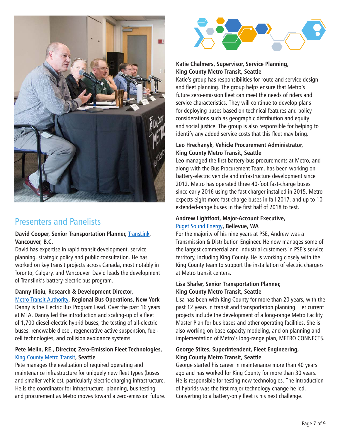![](_page_6_Picture_0.jpeg)

# Presenters and Panelists

#### **David Cooper, Senior Transportation Planner,** TransLink**, Vancouver, B.C.**

David has expertise in rapid transit development, service planning, strategic policy and public consultation. He has worked on key transit projects across Canada, most notably in Toronto, Calgary, and Vancouver. David leads the development of Translink's battery-electric bus program.

#### **Danny Ilioiu, Research & Development Director,**

Metro Transit Authority**, Regional Bus Operations, New York**  Danny is the Electric Bus Program Lead. Over the past 16 years at MTA, Danny led the introduction and scaling-up of a fleet of 1,700 diesel-electric hybrid buses, the testing of all-electric buses, renewable diesel, regenerative active suspension, fuelcell technologies, and collision avoidance systems.

#### **Pete Melin, P.E., Director, Zero-Emission Fleet Technologies,**  King County Metro Transit**, Seattle**

Pete manages the evaluation of required operating and maintenance infrastructure for uniquely new fleet types (buses and smaller vehicles), particularly electric charging infrastructure. He is the coordinator for infrastructure, planning, bus testing, and procurement as Metro moves toward a zero-emission future.

![](_page_6_Picture_8.jpeg)

#### **Katie Chalmers, Supervisor, Service Planning, King County Metro Transit, Seattle**

Katie's group has responsibilities for route and service design and fleet planning. The group helps ensure that Metro's future zero-emission fleet can meet the needs of riders and service characteristics. They will continue to develop plans for deploying buses based on technical features and policy considerations such as geographic distribution and equity and social justice. The group is also responsible for helping to identify any added service costs that this fleet may bring.

#### **Leo Hrechanyk, Vehicle Procurement Administrator, King County Metro Transit, Seattle**

Leo managed the first battery-bus procurements at Metro, and along with the Bus Procurement Team, has been working on battery-electric vehicle and infrastructure development since 2012. Metro has operated three 40-foot fast-charge buses since early 2016 using the fast charger installed in 2015. Metro expects eight more fast-charge buses in fall 2017, and up to 10 extended-range buses in the first half of 2018 to test.

#### **Andrew Lightfoot, Major-Account Executive,**  Puget Sound Energy**, Bellevue, WA**

For the majority of his nine years at PSE, Andrew was a Transmission & Distribution Engineer. He now manages some of the largest commercial and industrial customers in PSE's service territory, including King County. He is working closely with the King County team to support the installation of electric chargers at Metro transit centers.

#### **Lisa Shafer, Senior Transportation Planner, King County Metro Transit, Seattle**

Lisa has been with King County for more than 20 years, with the past 12 years in transit and transportation planning. Her current projects include the development of a long-range Metro Facility Master Plan for bus bases and other operating facilities. She is also working on base capacity modeling, and on planning and implementation of Metro's long-range plan, METRO CONNECTS.

#### **George Stites, Superintendent, Fleet Engineering, King County Metro Transit, Seattle**

George started his career in maintenance more than 40 years ago and has worked for King County for more than 30 years. He is responsible for testing new technologies. The introduction of hybrids was the first major technology change he led. Converting to a battery-only fleet is his next challenge.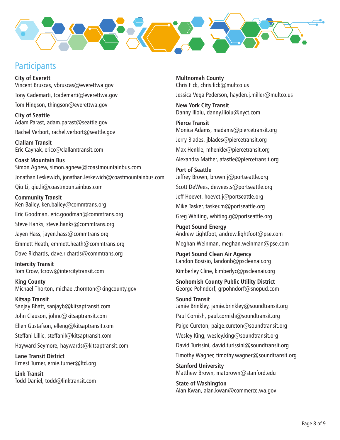![](_page_7_Picture_0.jpeg)

# **Participants**

**City of Everett** Vincent Bruscas, vbruscas@everettwa.gov Tony Cademarti, tcademarti@everettwa.gov Tom Hingson, thingson@everettwa.gov

**City of Seattle** Adam Parast, adam.parast@seattle.gov Rachel Verbort, rachel.verbort@seattle.gov

**Clallam Transit** Eric Caynak, ericc@clallamtransit.com

**Coast Mountain Bus** Simon Agnew, simon.agnew@coastmountainbus.com Jonathan Leskewich, jonathan.leskewich@coastmountainbus.com Qiu Li, qiu.li@coastmountainbus.com

**Community Transit** Ken Bailey, ken.bailey@commtrans.org Eric Goodman, eric.goodman@commtrans.org Steve Hanks, steve.hanks@commtrans.org Jayen Hass, jayen.hass@commtrans.org Emmett Heath, emmett.heath@commtrans.org Dave Richards, dave.richards@commtrans.org

**Intercity Transit** Tom Crow, tcrow@intercitytransit.com

**King County** Michael Thorton, michael.thornton@kingcounty.gov

**Kitsap Transit** Sanjay Bhatt, sanjayb@kitsaptransit.com John Clauson, johnc@kitsaptransit.com

Ellen Gustafson, elleng@kitsaptransit.com

Steffani Lillie, steffanil@kitsaptransit.com

Hayward Seymore, haywards@kitsaptransit.com

**Lane Transit District** Ernest Turner, ernie.turner@ltd.org

**Link Transit** Todd Daniel, todd@linktransit.com

**Multnomah County** Chris Fick, chris.fick@multco.us

Jessica Vega Pederson, hayden.j.miller@multco.us

**New York City Transit** Danny Ilioiu, danny.ilioiu@nyct.com

**Pierce Transit** Monica Adams, madams@piercetransit.org Jerry Blades, jblades@piercetransit.org Max Henkle, mhenkle@piercetransit.org Alexandra Mather, afastle@piercetransit.org

**Port of Seattle** Jeffrey Brown, brown.j@portseattle.org Scott DeWees, dewees.s@portseattle.org Jeff Hoevet, hoevet.j@portseattle.org Mike Tasker, tasker.m@portseattle.org Greg Whiting, whiting.g@portseattle.org

**Puget Sound Energy** Andrew Lightfoot, andrew.lightfoot@pse.com

Meghan Weinman, meghan.weinman@pse.com

**Puget Sound Clean Air Agency** Landon Bosisio, landonb@pscleanair.org Kimberley Cline, kimberlyc@pscleanair.org

**Snohomish County Public Utility District** George Pohndorf, grpohndorf@snopud.com

**Sound Transit** Jamie Brinkley, jamie.brinkley@soundtransit.org Paul Cornish, paul.cornish@soundtransit.org Paige Cureton, paige.cureton@soundtransit.org Wesley King, wesley.king@soundtransit.org David Turissini, david.turissini@soundtransit.org Timothy Wagner, timothy.wagner@soundtransit.org **Stanford University** Matthew Brown, matbrown@stanford.edu

**State of Washington** Alan Kwan, alan.kwan@commerce.wa.gov